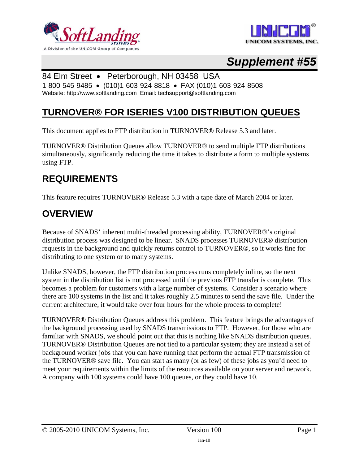



# *Supplement #55*

## 84 Elm Street • Peterborough, NH 03458 USA

1-800-545-9485 • (010)1-603-924-8818 • FAX (010)1-603-924-8508 Website: http://www.softlanding.com Email: techsupport@softlanding.com

## **TURNOVER® FOR ISERIES V100 DISTRIBUTION QUEUES**

This document applies to FTP distribution in TURNOVER® Release 5.3 and later.

TURNOVER® Distribution Queues allow TURNOVER® to send multiple FTP distributions simultaneously, significantly reducing the time it takes to distribute a form to multiple systems using FTP.

### **REQUIREMENTS**

This feature requires TURNOVER® Release 5.3 with a tape date of March 2004 or later.

## **OVERVIEW**

Because of SNADS' inherent multi-threaded processing ability, TURNOVER®'s original distribution process was designed to be linear. SNADS processes TURNOVER® distribution requests in the background and quickly returns control to TURNOVER®, so it works fine for distributing to one system or to many systems.

Unlike SNADS, however, the FTP distribution process runs completely inline, so the next system in the distribution list is not processed until the previous FTP transfer is complete. This becomes a problem for customers with a large number of systems. Consider a scenario where there are 100 systems in the list and it takes roughly 2.5 minutes to send the save file. Under the current architecture, it would take over four hours for the whole process to complete!

TURNOVER® Distribution Queues address this problem. This feature brings the advantages of the background processing used by SNADS transmissions to FTP. However, for those who are familiar with SNADS, we should point out that this is nothing like SNADS distribution queues. TURNOVER® Distribution Queues are not tied to a particular system; they are instead a set of background worker jobs that you can have running that perform the actual FTP transmission of the TURNOVER® save file. You can start as many (or as few) of these jobs as you'd need to meet your requirements within the limits of the resources available on your server and network. A company with 100 systems could have 100 queues, or they could have 10.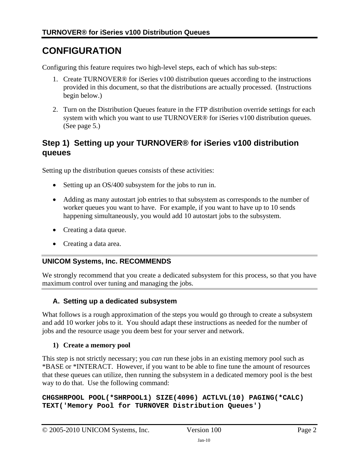## **CONFIGURATION**

Configuring this feature requires two high-level steps, each of which has sub-steps:

- 1. Create TURNOVER® for iSeries v100 distribution queues according to the instructions provided in this document, so that the distributions are actually processed. (Instructions begin [below](#page-1-0).)
- 2. Turn on the Distribution Queues feature in the FTP distribution override settings for each system with which you want to use TURNOVER® for iSeries v100 distribution queues. (See page [5](#page-4-0).)

### <span id="page-1-0"></span>**Step 1) Setting up your TURNOVER® for iSeries v100 distribution queues**

Setting up the distribution queues consists of these activities:

- Setting up an OS/400 subsystem for the jobs to run in.
- Adding as many autostart job entries to that subsystem as corresponds to the number of worker queues you want to have. For example, if you want to have up to 10 sends happening simultaneously, you would add 10 autostart jobs to the subsystem.
- Creating a data queue.
- Creating a data area.

#### **UNICOM Systems, Inc. RECOMMENDS**

We strongly recommend that you create a dedicated subsystem for this process, so that you have maximum control over tuning and managing the jobs.

#### **A. Setting up a dedicated subsystem**

What follows is a rough approximation of the steps you would go through to create a subsystem and add 10 worker jobs to it. You should adapt these instructions as needed for the number of jobs and the resource usage you deem best for your server and network.

#### **1) Create a memory pool**

This step is not strictly necessary; you *can* run these jobs in an existing memory pool such as \*BASE or \*INTERACT. However, if you want to be able to fine tune the amount of resources that these queues can utilize, then running the subsystem in a dedicated memory pool is the best way to do that. Use the following command:

**CHGSHRPOOL POOL(\*SHRPOOL1) SIZE(4096) ACTLVL(10) PAGING(\*CALC) TEXT('Memory Pool for TURNOVER Distribution Queues')**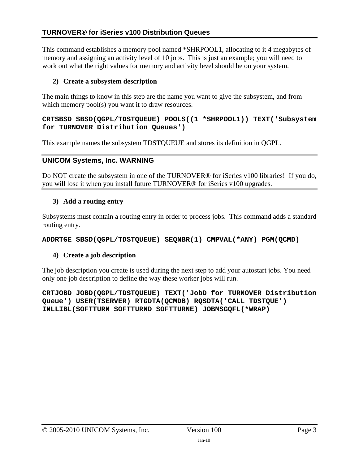This command establishes a memory pool named \*SHRPOOL1, allocating to it 4 megabytes of memory and assigning an activity level of 10 jobs. This is just an example; you will need to work out what the right values for memory and activity level should be on your system.

#### **2) Create a subsystem description**

The main things to know in this step are the name you want to give the subsystem, and from which memory pool(s) you want it to draw resources.

#### **CRTSBSD SBSD(QGPL/TDSTQUEUE) POOLS((1 \*SHRPOOL1)) TEXT('Subsystem for TURNOVER Distribution Queues')**

This example names the subsystem TDSTQUEUE and stores its definition in QGPL.

#### **UNICOM Systems, Inc. WARNING**

Do NOT create the subsystem in one of the TURNOVER® for iSeries v100 libraries! If you do, you will lose it when you install future TURNOVER® for iSeries v100 upgrades.

#### **3) Add a routing entry**

Subsystems must contain a routing entry in order to process jobs. This command adds a standard routing entry.

#### **ADDRTGE SBSD(QGPL/TDSTQUEUE) SEQNBR(1) CMPVAL(\*ANY) PGM(QCMD)**

#### **4) Create a job description**

The job description you create is used during the next step to add your autostart jobs. You need only one job description to define the way these worker jobs will run.

**CRTJOBD JOBD(QGPL/TDSTQUEUE) TEXT('JobD for TURNOVER Distribution Queue') USER(TSERVER) RTGDTA(QCMDB) RQSDTA('CALL TDSTQUE') INLLIBL(SOFTTURN SOFTTURND SOFTTURNE) JOBMSGQFL(\*WRAP)**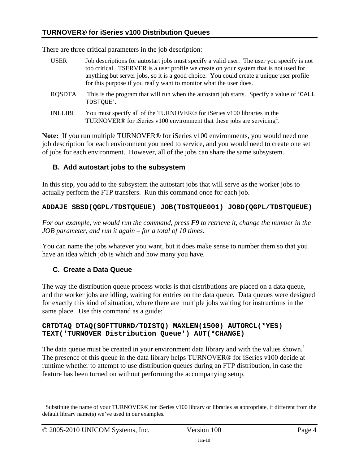There are three critical parameters in the job description:

- USER Job descriptions for autostart jobs must specify a valid user. The user you specify is not too critical. TSERVER is a user profile we create on your system that is not used for anything but server jobs, so it is a good choice. You could create a unique user profile for this purpose if you really want to monitor what the user does.
- RQSDTA This is the program that will run when the autostart job starts. Specify a value of 'CALL TDSTQUE'.
- INLLIBL You must specify all of the TURNOVER® for iSeries v100 libraries in the TURNOVER® for iSeries v[1](#page-3-0)00 environment that these jobs are servicing<sup>1</sup>.

<span id="page-3-1"></span>**Note:** If you run multiple TURNOVER® for iSeries v100 environments, you would need one job description for each environment you need to service, and you would need to create one set of jobs for each environment. However, all of the jobs can share the same subsystem.

#### **B. Add autostart jobs to the subsystem**

In this step, you add to the subsystem the autostart jobs that will serve as the worker jobs to actually perform the FTP transfers. Run this command once for each job.

#### **ADDAJE SBSD(QGPL/TDSTQUEUE) JOB(TDSTQUE001) JOBD(QGPL/TDSTQUEUE)**

*For our example, we would run the command, press F9 to retrieve it, change the number in the JOB parameter, and run it again – for a total of 10 times.*

You can name the jobs whatever you want, but it does make sense to number them so that you have an idea which job is which and how many you have.

#### **C. Create a Data Queue**

The way the distribution queue process works is that distributions are placed on a data queue, and the worker jobs are idling, waiting for entries on the data queue. Data queues were designed for exactly this kind of situation, where there are multiple jobs waiting for instructions in the same place. Use this command as a guide: $<sup>1</sup>$  $<sup>1</sup>$  $<sup>1</sup>$ </sup>

#### **CRTDTAQ DTAQ(SOFTTURND/TDISTQ) MAXLEN(1500) AUTORCL(\*YES) TEXT('TURNOVER Distribution Queue') AUT(\*CHANGE)**

The data queue must be created in your environment data library and with the values shown.<sup>[1](#page-3-1)</sup> The presence of this queue in the data library helps TURNOVER® for iSeries v100 decide at runtime whether to attempt to use distribution queues during an FTP distribution, in case the feature has been turned on without performing the accompanying setup.

1

<span id="page-3-0"></span><sup>&</sup>lt;sup>1</sup> Substitute the name of your TURNOVER<sup>®</sup> for iSeries v100 library or libraries as appropriate, if different from the default library name(s) we've used in our examples.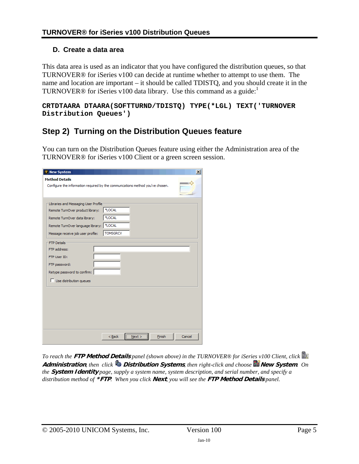#### **D. Create a data area**

This data area is used as an indicator that you have configured the distribution queues, so that TURNOVER® for iSeries v100 can decide at runtime whether to attempt to use them. The name and location are important – it should be called TDISTQ, and you should create it in the TURNOVER® for iSeries v[1](#page-3-1)00 data library. Use this command as a guide: $<sup>1</sup>$ </sup>

**CRTDTAARA DTAARA(SOFTTURND/TDISTQ) TYPE(\*LGL) TEXT('TURNOVER Distribution Queues')** 

### <span id="page-4-0"></span>**Step 2) Turning on the Distribution Queues feature**

You can turn on the Distribution Queues feature using either the Administration area of the TURNOVER® for iSeries v100 Client or a green screen session.

| <b>New System</b>                                                              | $\vert x \vert$ |
|--------------------------------------------------------------------------------|-----------------|
| <b>Method Details</b>                                                          |                 |
| Configure the information required by the communications method you've chosen. |                 |
|                                                                                |                 |
| Libraries and Messaging User Profile                                           |                 |
| *LOCAL<br>Remote TurnOver product library:                                     |                 |
| *LOCAL<br>Remote TurnOver data library:                                        |                 |
| <sup>3</sup> LOCAL<br>Remote TurnOver language library:                        |                 |
| <b>TOMSGRCV</b><br>Message receive job user profile:                           |                 |
| <b>FTP Details</b>                                                             |                 |
| FTP address:                                                                   |                 |
| FTP User ID:                                                                   |                 |
| FTP password:                                                                  |                 |
| Retype password to confirm:                                                    |                 |
| $\Box$ Use distribution queues                                                 |                 |
|                                                                                |                 |
|                                                                                |                 |
|                                                                                |                 |
|                                                                                |                 |
|                                                                                |                 |
|                                                                                |                 |
| $<$ Back<br>Finish<br>Next >                                                   | Cancel          |

*To reach the* **FTP Method Details** *panel (shown above) in the TURNOVER® for iSeries v100 Client, click*  **Administration***, then click* **Distribution Systems**, *then right-click and choose* **New System***. On the* **System Identity** *page, supply a system name, system description, and serial number, and specify a distribution method of* **\*FTP***. When you click* **Next***, you will see the* **FTP Method Details** *panel.*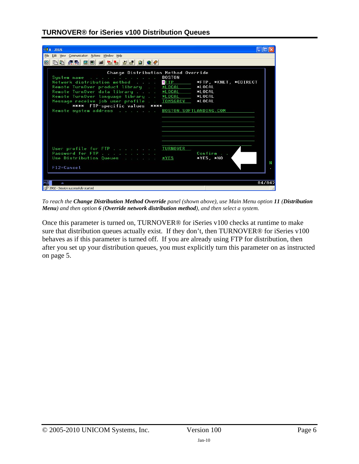| $B1 A - ZEUS$                                                                                                                                                                                                                                                                                                                             |                                                                                                                             |
|-------------------------------------------------------------------------------------------------------------------------------------------------------------------------------------------------------------------------------------------------------------------------------------------------------------------------------------------|-----------------------------------------------------------------------------------------------------------------------------|
| File Edit View Communication Actions Window Help                                                                                                                                                                                                                                                                                          |                                                                                                                             |
| BBCSBBCSBBCBC<br>圖                                                                                                                                                                                                                                                                                                                        |                                                                                                                             |
| Change Distribution Method Override<br>System name<br>Network distribution method WFTP<br>Remote TurnOver product library WLOCAL<br>Remote TurnOver data library<br>Remote TurnOver language library *LOCAL<br>Message receive job user profile TOMSGRCV<br>**** FTP-specific values ****<br>Remote system address BOSTON.SOFTLANDING.COM | <b>BOSTON</b><br>*FTP, *KNET, *CDIRECT<br><b>*LOCAL</b><br><b>*LOCAL</b><br><b>*LOCAL</b><br><b>*LOCAL</b><br><b>*LOCAL</b> |
| User profile for FTP TURNOVER<br>Password for FTP<br>Use Distribution Queues *YES<br>$F12 = Cancel$                                                                                                                                                                                                                                       | Confirm<br>*YES, *NO                                                                                                        |
| a                                                                                                                                                                                                                                                                                                                                         | 04/042                                                                                                                      |
| 1902 - Session successfully started                                                                                                                                                                                                                                                                                                       |                                                                                                                             |

*To reach the Change Distribution Method Override panel (shown above), use Main Menu option 11 (Distribution Menu) and then option 6 (Override network distribution method), and then select a system.* 

Once this parameter is turned on, TURNOVER® for iSeries v100 checks at runtime to make sure that distribution queues actually exist. If they don't, then TURNOVER® for iSeries v100 behaves as if this parameter is turned off. If you are already using FTP for distribution, then after you set up your distribution queues, you must explicitly turn this parameter on as instructed on page [5.](#page-4-0)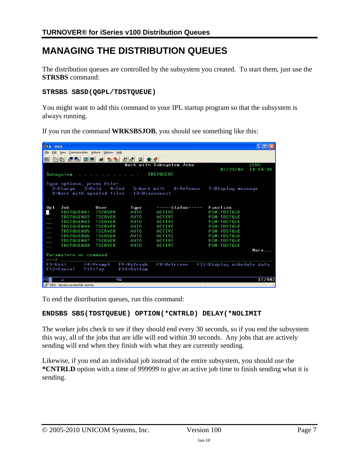## **MANAGING THE DISTRIBUTION QUEUES**

The distribution queues are controlled by the subsystem you created. To start them, just use the **STRSBS** command:

#### **STRSBS SBSD(QGPL/TDSTQUEUE)**

You might want to add this command to your IPL startup program so that the subsystem is always running.

If you run the command **WRKSBSJOB**, you should see something like this:

| <b>BLA-ZEUS</b>                                                            |                                               |                |                  |                   |                           |  |  |  |  |
|----------------------------------------------------------------------------|-----------------------------------------------|----------------|------------------|-------------------|---------------------------|--|--|--|--|
| File                                                                       | Edit View Communication Actions Window Help   |                |                  |                   |                           |  |  |  |  |
| 8889<br>电面配轴<br><b>Value</b><br>国国画<br>8                                   |                                               |                |                  |                   |                           |  |  |  |  |
| Work with Subsystem Jobs<br><b>ZEUS</b>                                    |                                               |                |                  |                   |                           |  |  |  |  |
|                                                                            |                                               |                |                  |                   | 01/23/04<br>14:54:45      |  |  |  |  |
| <b>TDSTQUEUE</b><br>Subsystem<br>a a representative and the control of the |                                               |                |                  |                   |                           |  |  |  |  |
|                                                                            |                                               |                |                  |                   |                           |  |  |  |  |
|                                                                            | Type options, press Enter.<br>2=Change 3=Hold | $4 =$ End      | 5=Work with      | 6=Release         | 7=Display message         |  |  |  |  |
|                                                                            | 8=Work with spooled files                     |                | 13=Disconnect    |                   |                           |  |  |  |  |
|                                                                            |                                               |                |                  |                   |                           |  |  |  |  |
|                                                                            |                                               |                |                  |                   |                           |  |  |  |  |
| 0p <sub>t</sub>                                                            | Job                                           | User           | Type             | $---$ Status----- | Function                  |  |  |  |  |
| ⊒                                                                          | TDSTQUE001                                    | <b>TSERVER</b> | <b>AUTO</b>      | ACTIVE            | <b>PGM-TDSTQUE</b>        |  |  |  |  |
|                                                                            | TDSTOUE002                                    | <b>TSERVER</b> | <b>AUTO</b>      | ACTIVE            | <b>PGM-TDSTOUE</b>        |  |  |  |  |
|                                                                            | TDSTOUE003                                    | <b>TSERVER</b> | <b>AUTO</b>      | ACTIVE            | <b>PGM-TDSTOUE</b>        |  |  |  |  |
| $\blacksquare$                                                             | TDSTQUE004                                    | <b>TSERVER</b> | AUT <sub>0</sub> | ACTIVE            | <b>PGM-TDSTOUE</b>        |  |  |  |  |
|                                                                            | TDSTQUE005                                    | <b>TSERVER</b> | <b>AUTO</b>      | ACTIVE            | <b>PGM-TDSTOUE</b>        |  |  |  |  |
|                                                                            | TDSTQUE006                                    | <b>TSERVER</b> | <b>AUTO</b>      | ACTIVE            | <b>PGM-TDSTOUE</b>        |  |  |  |  |
|                                                                            | TDSTQUE007                                    | <b>TSERVER</b> | <b>AUTO</b>      | ACTIVE            | <b>PGM-TDSTOUE</b>        |  |  |  |  |
|                                                                            | TDSTQUE008                                    | <b>TSERVER</b> | AUT <sub>0</sub> | ACTIVE            | <b>PGM-TDSTOUE</b>        |  |  |  |  |
|                                                                            |                                               |                |                  |                   | More                      |  |  |  |  |
|                                                                            | Parameters or command                         |                |                  |                   |                           |  |  |  |  |
| $\Rightarrow$ = $\Rightarrow$                                              |                                               |                |                  |                   |                           |  |  |  |  |
| $F3 = Ex1t$                                                                |                                               | F4=Prompt      | F5=Refresh       | F9=Retrieve       | F11=Display schedule data |  |  |  |  |
| $F12 = Cancel$                                                             |                                               | $F17 = Top$    | $F18 = Bot$ tom  |                   |                           |  |  |  |  |
|                                                                            |                                               |                |                  |                   |                           |  |  |  |  |
| <b>MA</b><br>a                                                             |                                               |                | MW               |                   | 11/002                    |  |  |  |  |
|                                                                            | 1902 - Session successfully started           |                |                  |                   |                           |  |  |  |  |

To end the distribution queues, run this command:

#### **ENDSBS SBS(TDSTQUEUE) OPTION(\*CNTRLD) DELAY(\*NOLIMIT**

The worker jobs check to see if they should end every 30 seconds, so if you end the subsystem this way, all of the jobs that are idle will end within 30 seconds. Any jobs that are actively sending will end when they finish with what they are currently sending.

Likewise, if you end an individual job instead of the entire subsystem, you should use the **\*CNTRLD** option with a time of 999999 to give an active job time to finish sending what it is sending.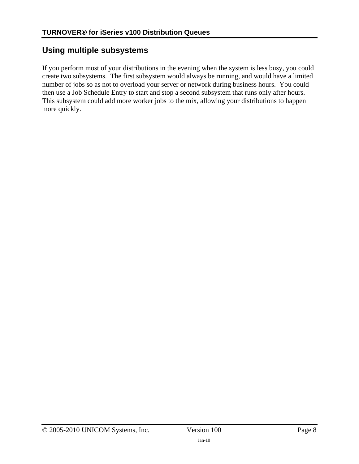### **Using multiple subsystems**

If you perform most of your distributions in the evening when the system is less busy, you could create two subsystems. The first subsystem would always be running, and would have a limited number of jobs so as not to overload your server or network during business hours. You could then use a Job Schedule Entry to start and stop a second subsystem that runs only after hours. This subsystem could add more worker jobs to the mix, allowing your distributions to happen more quickly.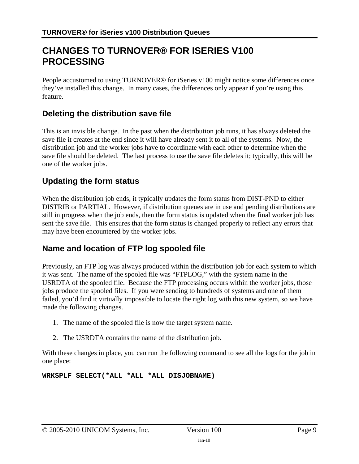## **CHANGES TO TURNOVER® FOR ISERIES V100 PROCESSING**

People accustomed to using TURNOVER® for iSeries v100 might notice some differences once they've installed this change. In many cases, the differences only appear if you're using this feature.

### **Deleting the distribution save file**

This is an invisible change. In the past when the distribution job runs, it has always deleted the save file it creates at the end since it will have already sent it to all of the systems. Now, the distribution job and the worker jobs have to coordinate with each other to determine when the save file should be deleted. The last process to use the save file deletes it; typically, this will be one of the worker jobs.

### **Updating the form status**

When the distribution job ends, it typically updates the form status from DIST-PND to either DISTRIB or PARTIAL. However, if distribution queues are in use and pending distributions are still in progress when the job ends, then the form status is updated when the final worker job has sent the save file. This ensures that the form status is changed properly to reflect any errors that may have been encountered by the worker jobs.

### **Name and location of FTP log spooled file**

Previously, an FTP log was always produced within the distribution job for each system to which it was sent. The name of the spooled file was "FTPLOG," with the system name in the USRDTA of the spooled file. Because the FTP processing occurs within the worker jobs, those jobs produce the spooled files. If you were sending to hundreds of systems and one of them failed, you'd find it virtually impossible to locate the right log with this new system, so we have made the following changes.

- 1. The name of the spooled file is now the target system name.
- 2. The USRDTA contains the name of the distribution job.

With these changes in place, you can run the following command to see all the logs for the job in one place:

**WRKSPLF SELECT(\*ALL \*ALL \*ALL DISJOBNAME)**